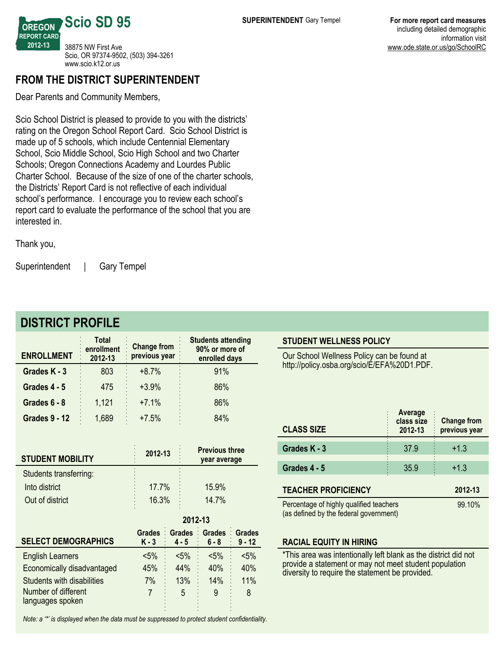

Dear Parents and Community Members,

Scio School District is pleased to provide to you with the districts' rating on the Oregon School Report Card. Scio School District is made up of 5 schools, which include Centennial Elementary School, Scio Middle School, Scio High School and two Charter Schools; Oregon Connections Academy and Lourdes Public Charter School. Because of the size of one of the charter schools, the Districts' Report Card is not reflective of each individual school's performance. I encourage you to review each school's report card to evaluate the performance of the school that you are interested in.

Thank you,

Superintendent | Gary Tempel

## **DISTRICT PROFILE**

| <b>ENROLLMENT</b>    | <b>Total</b><br>enrollment<br>2012-13 | <b>Change from</b><br>previous year | <b>Students attending</b><br>90% or more of<br>enrolled days |
|----------------------|---------------------------------------|-------------------------------------|--------------------------------------------------------------|
| Grades K - 3         | 803                                   | $+8.7%$                             | 91%                                                          |
| Grades 4 - 5         | 475                                   | $+3.9%$                             | 86%                                                          |
| Grades 6 - 8         | 1,121                                 | $+7.1%$                             | 86%                                                          |
| <b>Grades 9 - 12</b> | 1,689                                 | $+7.5%$                             | 84%                                                          |

| 2012-13                                    | <b>Previous three</b><br>year average |
|--------------------------------------------|---------------------------------------|
|                                            |                                       |
| 17.7%                                      | 15.9%                                 |
| 16.3%<br>$\bullet$<br>$\ddot{\phantom{a}}$ | 14.7%                                 |
|                                            |                                       |

| <b>SELECT DEMOGRAPHICS</b>              | <b>Grades</b><br>$K - 3$ | Grades Grades Grades<br>$4 - 5$ | $6 - 8$ | $\cdot$ 9 - 12 |
|-----------------------------------------|--------------------------|---------------------------------|---------|----------------|
| <b>English Learners</b>                 | $< 5\%$                  | $< 5\%$                         | $< 5\%$ | $< 5\%$        |
| Economically disadvantaged              | 45%                      | 44%                             | 40%     | 40%            |
| Students with disabilities              | 7%                       | 13%                             | 14%     | 11%            |
| Number of different<br>languages spoken |                          | 5                               | 9       | 8              |

**201213**

*Note: a '\*' is displayed when the data must be suppressed to protect student confidentiality.*

Our School Wellness Policy can be found at http://policy.osba.org/scio/E/EFA%20D1.PDF.

| <b>CLASS SIZE</b>                       | Average<br>class size<br>2012-13 | <b>Change from</b><br>previous year |  |  |  |
|-----------------------------------------|----------------------------------|-------------------------------------|--|--|--|
| Grades K - 3                            | 37.9                             | $+1.3$                              |  |  |  |
| Grades 4 - 5                            | 35.9                             | $+1.3$                              |  |  |  |
| <b>TEACHER PROFICIENCY</b><br>2012-13   |                                  |                                     |  |  |  |
| Percentage of highly qualified teachers | 99.10%                           |                                     |  |  |  |

(as defined by the federal government)

#### **RACIAL EQUITY IN HIRING**

\*This area was intentionally left blank as the district did not provide a statement or may not meet student population diversity to require the statement be provided.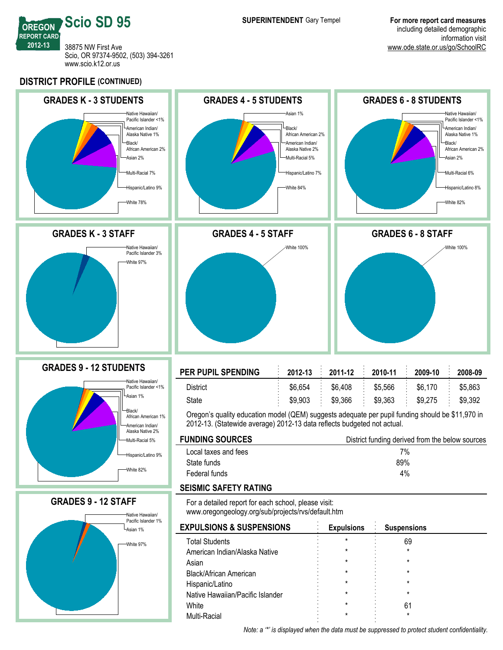

**DISTRICT PROFILE (CONTINUED)**



Native Hawaiian/Pacific Islander

Multi-Racial

White  $\sim$  61

*Note: a '\*' is displayed when the data must be suppressed to protect student confidentiality.*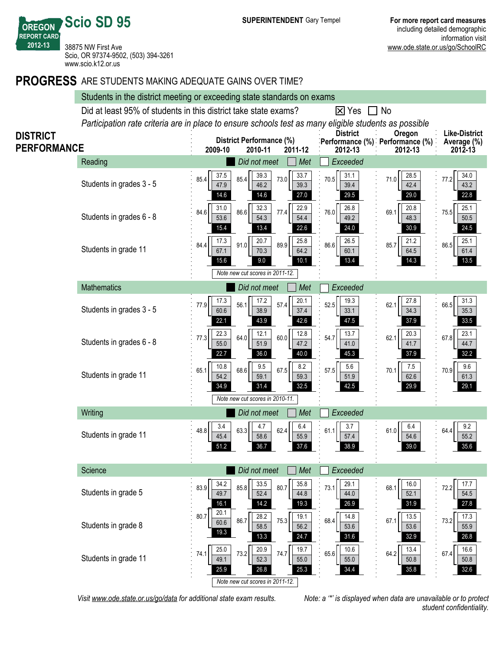**REPORT CARD** 38875 NW First Ave Scio, OR 97374-9502, (503) 394-3261 www.scio.k12.or.us

**Scio SD 95**

**OREGON**

**201213**

### **PROGRESS** ARE STUDENTS MAKING ADEQUATE GAINS OVER TIME?

|                                                                                                                          | Students in the district meeting or exceeding state standards on exams                                      |                                                                                              |                                                                 |                                                |  |  |  |  |  |
|--------------------------------------------------------------------------------------------------------------------------|-------------------------------------------------------------------------------------------------------------|----------------------------------------------------------------------------------------------|-----------------------------------------------------------------|------------------------------------------------|--|--|--|--|--|
|                                                                                                                          | Did at least 95% of students in this district take state exams?<br>$\overline{\mathsf{x}}$ Yes<br>$\Box$ No |                                                                                              |                                                                 |                                                |  |  |  |  |  |
| Participation rate criteria are in place to ensure schools test as many eligible students as possible<br><b>District</b> |                                                                                                             |                                                                                              |                                                                 |                                                |  |  |  |  |  |
| <b>DISTRICT</b><br><b>PERFORMANCE</b>                                                                                    |                                                                                                             | <b>District Performance (%)</b><br>2010-11<br>2011-12<br>2009-10                             | Oregon<br>Performance (%) Performance (%)<br>2012-13<br>2012-13 | <b>Like-District</b><br>Average (%)<br>2012-13 |  |  |  |  |  |
|                                                                                                                          | Reading                                                                                                     | Did not meet<br>Met                                                                          | Exceeded                                                        |                                                |  |  |  |  |  |
|                                                                                                                          | Students in grades 3 - 5                                                                                    | 37.5<br>39.3<br>33.7<br>85.4<br>73.0<br>85.4<br>46.2<br>39.3<br>47.9<br>14.6<br>14.6<br>27.0 | 31.1<br>28.5<br>70.5<br>71.0<br>39.4<br>42.4<br>29.0<br>29.5    | 34.0<br>77.2<br>43.2<br>22.8                   |  |  |  |  |  |
|                                                                                                                          | Students in grades 6 - 8                                                                                    | 31.0<br>32.3<br>22.9<br>86.6<br>84.6<br>77.4<br>53.6<br>54.3<br>54.4<br>13.4<br>22.6<br>15.4 | 26.8<br>20.8<br>76.0<br>69.1<br>48.3<br>49.2<br>30.9<br>24.0    | 25.1<br>75.5<br>50.5<br>24.5                   |  |  |  |  |  |
|                                                                                                                          | Students in grade 11                                                                                        | 20.7<br>25.8<br>17.3<br>91.0<br>89.9<br>84.4<br>67.1<br>70.3<br>64.2<br>15.6<br>9.0<br>10.1  | 26.5<br>21.2<br>86.6<br>85.7<br>64.5<br>60.1<br>13.4<br>14.3    | 25.1<br>86.5<br>61.4<br>13.5                   |  |  |  |  |  |
|                                                                                                                          |                                                                                                             | Note new cut scores in 2011-12.                                                              |                                                                 |                                                |  |  |  |  |  |
|                                                                                                                          | <b>Mathematics</b>                                                                                          | Did not meet<br>Met                                                                          | Exceeded                                                        |                                                |  |  |  |  |  |
|                                                                                                                          | Students in grades 3 - 5                                                                                    | 17.2<br>17.3<br>20.1<br>77.9<br>57.4<br>56.1<br>60.6<br>38.9<br>37.4<br>22.1<br>43.9<br>42.6 | 27.8<br>19.3<br>52.5<br>62.1<br>34.3<br>33.1<br>47.5<br>37.9    | 31.3<br>66.5<br>35.3<br>33.5                   |  |  |  |  |  |
|                                                                                                                          | Students in grades 6 - 8                                                                                    | 22.3<br>12.1<br>12.8<br>77.3<br>64.0<br>60.0<br>51.9<br>55.0<br>47.2<br>22.7<br>36.0<br>40.0 | 13.7<br>20.3<br>54.7<br>62.1<br>41.0<br>41.7<br>45.3<br>37.9    | 23.1<br>67.8<br>44.7<br>32.2                   |  |  |  |  |  |
|                                                                                                                          | Students in grade 11                                                                                        | 10.8<br>9.5<br>8.2<br>68.6<br>67.5<br>65.1<br>54.2<br>59.1<br>59.3<br>34.9<br>32.5<br>31.4   | 5.6<br>$7.5$<br>57.5<br>70.1<br>51.9<br>62.6<br>29.9<br>42.5    | 9.6<br>70.9<br>61.3<br>29.1                    |  |  |  |  |  |
|                                                                                                                          |                                                                                                             | Note new cut scores in 2010-11.                                                              |                                                                 |                                                |  |  |  |  |  |
|                                                                                                                          | Writing                                                                                                     | Did not meet<br>Met                                                                          | Exceeded                                                        |                                                |  |  |  |  |  |
|                                                                                                                          | Students in grade 11                                                                                        | 3.4<br>4.7<br>6.4<br>63.3<br>62.4<br>48.8<br>55.9<br>45.4<br>58.6<br>51.2<br>36.7<br>37.6    | 3.7<br>6.4<br>61.0<br>61.1<br>57.4<br>54.6<br>38.9<br>39.0      | 9.2<br>64.4<br>55.2<br>35.6                    |  |  |  |  |  |
|                                                                                                                          | Science                                                                                                     | Did not meet<br>Met                                                                          | Exceeded                                                        |                                                |  |  |  |  |  |
|                                                                                                                          | Students in grade 5                                                                                         | 34.2<br>33.5<br>35.8<br>85.8<br>83.9<br>80.7<br>52.4<br>49.7<br>44.8<br>16.1<br>14.2<br>19.3 | 29.1<br>16.0<br>73.1<br>68.1<br>52.1<br>44.0<br>31.9<br>26.9    | 17.7<br>72.2<br>54.5<br>27.8                   |  |  |  |  |  |
|                                                                                                                          | Students in grade 8                                                                                         | 20.1<br>80.7<br>28.2<br>19.1<br>86.7<br>75.3<br>60.6<br>58.5<br>56.2<br>19.3<br>13.3<br>24.7 | 14.8<br>13.5<br>68.4<br>67.1<br>53.6<br>53.6<br>31.6<br>32.9    | 17.3<br>73.2<br>55.9<br>26.8                   |  |  |  |  |  |
|                                                                                                                          | Students in grade 11                                                                                        | 25.0<br>20.9<br>19.7<br>73.2<br>74.7<br>74.1<br>49.1<br>52.3<br>55.0<br>25.9<br>26.8<br>25.3 | 10.6<br>13.4<br>65.6<br>64.2<br>55.0<br>50.8<br>34.4<br>35.8    | 16.6<br>67.4<br>50.8<br>32.6                   |  |  |  |  |  |
|                                                                                                                          |                                                                                                             | Note new cut scores in 2011-12.                                                              |                                                                 |                                                |  |  |  |  |  |

*Visit www.ode.state.or.us/go/data for additional state exam results. Note: a '\*' is displayed when data are unavailable or to protect*

*student confidentiality.*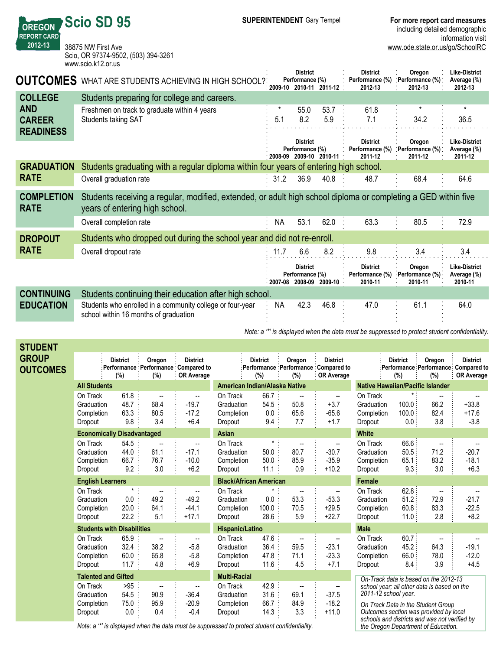| <b>SUPERINTENDENT</b> Gary Tempe |  |
|----------------------------------|--|
|----------------------------------|--|

information visit

www.ode.state.or.us/go/SchoolRC

38875 NW First Ave Scio, OR 97374-9502, (503) 394-3261 www.scio.k12.or.us

**Scio SD 95**

**OREGON REPORT CARD 201213**

| <b>OUTCOMES</b>                  | WHAT ARE STUDENTS ACHIEVING IN HIGH SCHOOL?                                                                                                      |           | <b>District</b><br>Performance (%) | 2009-10 2010-11 2011-12 | <b>District</b><br>Performance (%)<br>2012-13 | Oregon<br>Performance (%):<br>2012-13 | <b>Like-District</b><br>Average (%)<br>2012-13 |
|----------------------------------|--------------------------------------------------------------------------------------------------------------------------------------------------|-----------|------------------------------------|-------------------------|-----------------------------------------------|---------------------------------------|------------------------------------------------|
| <b>COLLEGE</b>                   | Students preparing for college and careers.                                                                                                      |           |                                    |                         |                                               |                                       |                                                |
| <b>AND</b>                       | Freshmen on track to graduate within 4 years                                                                                                     | $\ast$    | 55.0                               | 53.7                    | 61.8                                          | $^\ast$                               | $^\star$                                       |
| <b>CAREER</b>                    | Students taking SAT                                                                                                                              | 5.1       | 8.2                                | 5.9                     | 7.1                                           | 34.2                                  | 36.5                                           |
| <b>READINESS</b>                 |                                                                                                                                                  |           |                                    |                         |                                               |                                       |                                                |
|                                  |                                                                                                                                                  |           | <b>District</b><br>Performance (%) | 2008-09 2009-10 2010-11 | <b>District</b><br>Performance (%)<br>2011-12 | Oregon<br>Performance (%)<br>2011-12  | <b>Like-District</b><br>Average (%)<br>2011-12 |
| <b>GRADUATION</b>                | Students graduating with a regular diploma within four years of entering high school.                                                            |           |                                    |                         |                                               |                                       |                                                |
| <b>RATE</b>                      | Overall graduation rate                                                                                                                          | 31.2      | 36.9                               | 40.8                    | 48.7                                          | 68.4                                  | 64.6                                           |
| <b>COMPLETION</b><br><b>RATE</b> | Students receiving a regular, modified, extended, or adult high school diploma or completing a GED within five<br>years of entering high school. |           |                                    |                         |                                               |                                       |                                                |
|                                  | Overall completion rate                                                                                                                          | <b>NA</b> | 53.1                               | 62.0                    | 63.3                                          | 80.5                                  | 72.9                                           |
| <b>DROPOUT</b>                   | Students who dropped out during the school year and did not re-enroll.                                                                           |           |                                    |                         |                                               |                                       |                                                |
| <b>RATE</b>                      | Overall dropout rate                                                                                                                             | 11.7      | 6.6                                | 8.2                     | 9.8                                           | 3.4                                   | 3.4                                            |
|                                  |                                                                                                                                                  | 2007-08   | <b>District</b><br>Performance (%) | 2008-09 2009-10         | <b>District</b><br>Performance (%)<br>2010-11 | Oregon<br>Performance (%)<br>2010-11  | <b>Like-District</b><br>Average (%)<br>2010-11 |
| <b>CONTINUING</b>                | Students continuing their education after high school.                                                                                           |           |                                    |                         |                                               |                                       |                                                |
| <b>EDUCATION</b>                 | Students who enrolled in a community college or four-year<br>school within 16 months of graduation                                               | NA        | 42.3                               | 46.8                    | 47.0                                          | 61.1                                  | 64.0                                           |

*Note: a '\*' is displayed when the data must be suppressed to protect student confidentiality.*

| <b>STUDENT</b>                  |                                                 |                                   |                                                                                              |                                                          |                                                 |                                 |                                                 |                                                                             |                                                 |                                   |                                                                                                                             |                                                            |
|---------------------------------|-------------------------------------------------|-----------------------------------|----------------------------------------------------------------------------------------------|----------------------------------------------------------|-------------------------------------------------|---------------------------------|-------------------------------------------------|-----------------------------------------------------------------------------|-------------------------------------------------|-----------------------------------|-----------------------------------------------------------------------------------------------------------------------------|------------------------------------------------------------|
| <b>GROUP</b><br><b>OUTCOMES</b> |                                                 | <b>District</b><br>(%)            | Oregon<br>Performance : Performance : Compared to<br>(%)                                     | <b>District</b><br><b>OR Average</b>                     |                                                 | <b>District</b><br>(%)          | Oregon<br>$(\%)$                                | <b>District</b><br>Performance Performance Compared to<br><b>OR Average</b> |                                                 | <b>District</b><br>$(\%)$         | Oregon<br>Performance Performance:<br>(%)                                                                                   | <b>District</b><br><b>Compared to</b><br><b>OR Average</b> |
|                                 | <b>All Students</b>                             |                                   |                                                                                              |                                                          | American Indian/Alaska Native                   |                                 |                                                 |                                                                             | <b>Native Hawaiian/Pacific Islander</b>         |                                   |                                                                                                                             |                                                            |
|                                 | On Track<br>Graduation<br>Completion<br>Dropout | 61.8<br>48.7<br>63.3<br>9.8       | --<br>68.4<br>80.5<br>3.4                                                                    | $\overline{\phantom{a}}$<br>$-19.7$<br>$-17.2$<br>$+6.4$ | On Track<br>Graduation<br>Completion<br>Dropout | 66.7<br>54.5<br>0.0<br>9.4      | $\overline{a}$<br>50.8<br>65.6<br>7.7           | $\overline{\phantom{a}}$<br>$+3.7$<br>$-65.6$<br>$+1.7$                     | On Track<br>Graduation<br>Completion<br>Dropout | $\star$<br>100.0<br>100.0<br>0.0: | 66.2<br>82.4<br>3.8                                                                                                         | $+33.8$<br>$+17.6$<br>$-3.8$                               |
|                                 |                                                 | <b>Economically Disadvantaged</b> |                                                                                              |                                                          | Asian                                           |                                 |                                                 |                                                                             | <b>White</b>                                    |                                   |                                                                                                                             |                                                            |
|                                 | On Track<br>Graduation<br>Completion<br>Dropout | 54.5<br>44.0<br>66.7<br>9.2       | --<br>61.1<br>76.7<br>3.0                                                                    | --<br>$-17.1$<br>$-10.0$<br>$+6.2$                       | On Track<br>Graduation<br>Completion<br>Dropout | $\star$<br>50.0<br>50.0<br>11.1 | 80.7<br>85.9<br>0.9                             | $-30.7$<br>$-35.9$<br>$+10.2$                                               | On Track<br>Graduation<br>Completion<br>Dropout | 66.6 :<br>50.5<br>65.1<br>9.3:    | $\overline{\phantom{a}}$<br>71.2<br>83.2<br>3.0                                                                             | $-20.7$<br>$-18.1$<br>$+6.3$                               |
|                                 | <b>English Learners</b>                         |                                   |                                                                                              |                                                          | <b>Black/African American</b>                   |                                 |                                                 |                                                                             | Female                                          |                                   |                                                                                                                             |                                                            |
|                                 | On Track<br>Graduation<br>Completion<br>Dropout | 0.0<br>20.0<br>22.2               | --<br>49.2<br>64.1<br>5.1                                                                    | --<br>$-49.2$<br>$-44.1$<br>$+17.1$                      | On Track<br>Graduation<br>Completion<br>Dropout | 0.0<br>100.0<br>28.6            | $\overline{\phantom{a}}$<br>53.3<br>70.5<br>5.9 | $\overline{\phantom{a}}$<br>$-53.3$<br>$+29.5$<br>$+22.7$                   | On Track<br>Graduation<br>Completion<br>Dropout | 62.8:<br>51.2<br>60.8<br>11.0:    | $\overline{\phantom{a}}$<br>72.9<br>83.3<br>2.8                                                                             | $-21.7$<br>$-22.5$<br>$+8.2$                               |
|                                 |                                                 | <b>Students with Disabilities</b> |                                                                                              |                                                          | Hispanic/Latino                                 |                                 |                                                 |                                                                             | <b>Male</b>                                     |                                   |                                                                                                                             |                                                            |
|                                 | On Track<br>Graduation<br>Completion<br>Dropout | 65.9<br>32.4<br>60.0<br>11.7      | 38.2<br>65.8<br>4.8                                                                          | --<br>$-5.8$<br>$-5.8$<br>$+6.9$                         | On Track<br>Graduation<br>Completion<br>Dropout | 47.6<br>36.4<br>47.8<br>11.6    | $\overline{\phantom{a}}$<br>59.5<br>71.1<br>4.5 | $-23.1$<br>$-23.3$<br>$+7.1$                                                | On Track<br>Graduation<br>Completion<br>Dropout | 60.7:<br>45.2<br>66.0<br>8.4      | $\overline{\phantom{a}}$<br>64.3<br>78.0<br>3.9                                                                             | $-19.1$<br>$-12.0$<br>$+4.5$                               |
|                                 |                                                 | <b>Talented and Gifted</b>        |                                                                                              |                                                          | <b>Multi-Racial</b>                             |                                 |                                                 |                                                                             |                                                 |                                   | On-Track data is based on the 2012-13                                                                                       |                                                            |
|                                 | On Track<br>Graduation<br>Completion<br>Dropout | >95<br>54.5<br>75.0<br>0.0        | $\overline{\phantom{a}}$<br>90.9<br>95.9<br>0.4                                              | --<br>$-36.4$<br>$-20.9$<br>$-0.4$                       | On Track<br>Graduation<br>Completion<br>Dropout | 42.9<br>31.6<br>66.7<br>14.3    | $\overline{\phantom{a}}$<br>69.1<br>84.9<br>3.3 | $\overline{\phantom{a}}$<br>$-37.5$<br>$-18.2$<br>$+11.0$                   | 2011-12 school year.                            |                                   | school year; all other data is based on the<br>On Track Data in the Student Group<br>Outcomes section was provided by local |                                                            |
|                                 |                                                 |                                   | Note: a "" is displayed when the data must be suppressed to protect student confidentiality. |                                                          |                                                 |                                 |                                                 |                                                                             |                                                 |                                   | schools and districts and was not verified by<br>the Oregon Department of Education.                                        |                                                            |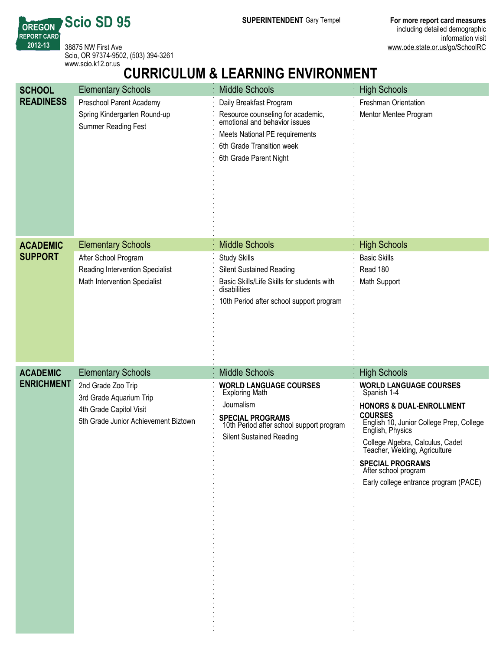**SUPERINTENDENT** Gary Tempel **For more report card measures** including detailed demographic information visit www.ode.state.or.us/go/SchoolRC

38875 NW First Ave Scio, OR 97374-9502, (503) 394-3261 www.scio.k12.or.us

**Scio SD 95**

**OREGON REPORT CARD 201213**

# **CURRICULUM & LEARNING ENVIRONMENT**

| <b>SCHOOL</b>     | <b>Elementary Schools</b>                                                                                        | <b>Middle Schools</b>                                                                                                                                                                  | <b>High Schools</b>                                                                                                                                                                                                                                                                                                                    |
|-------------------|------------------------------------------------------------------------------------------------------------------|----------------------------------------------------------------------------------------------------------------------------------------------------------------------------------------|----------------------------------------------------------------------------------------------------------------------------------------------------------------------------------------------------------------------------------------------------------------------------------------------------------------------------------------|
| <b>READINESS</b>  | Preschool Parent Academy<br>Spring Kindergarten Round-up<br>Summer Reading Fest                                  | Daily Breakfast Program<br>Resource counseling for academic,<br>emotional and behavior issues<br>Meets National PE requirements<br>6th Grade Transition week<br>6th Grade Parent Night | Freshman Orientation<br>Mentor Mentee Program                                                                                                                                                                                                                                                                                          |
| <b>ACADEMIC</b>   | <b>Elementary Schools</b>                                                                                        | <b>Middle Schools</b>                                                                                                                                                                  | <b>High Schools</b>                                                                                                                                                                                                                                                                                                                    |
| <b>SUPPORT</b>    | After School Program<br>Reading Intervention Specialist<br>Math Intervention Specialist                          | <b>Study Skills</b><br><b>Silent Sustained Reading</b><br>Basic Skills/Life Skills for students with<br>disabilities<br>10th Period after school support program                       | <b>Basic Skills</b><br>Read 180<br>Math Support                                                                                                                                                                                                                                                                                        |
| <b>ACADEMIC</b>   | <b>Elementary Schools</b>                                                                                        | <b>Middle Schools</b>                                                                                                                                                                  | <b>High Schools</b>                                                                                                                                                                                                                                                                                                                    |
| <b>ENRICHMENT</b> | 2nd Grade Zoo Trip<br>3rd Grade Aquarium Trip<br>4th Grade Capitol Visit<br>5th Grade Junior Achievement Biztown | <b>WORLD LANGUAGE COURSES</b><br><b>Exploring Math</b><br>Journalism<br>SPECIAL PROGRAMS<br>10th Period after school support program<br><b>Silent Sustained Reading</b>                | <b>WORLD LANGUAGE COURSES</b><br>Spanish 1-4<br><b>HONORS &amp; DUAL-ENROLLMENT</b><br><b>COURSES</b><br>English 10, Junior College Prep, College<br>English, Physics<br>College Algebra, Calculus, Cadet<br>Teacher, Welding, Agriculture<br><b>SPECIAL PROGRAMS</b><br>After school program<br>Early college entrance program (PACE) |